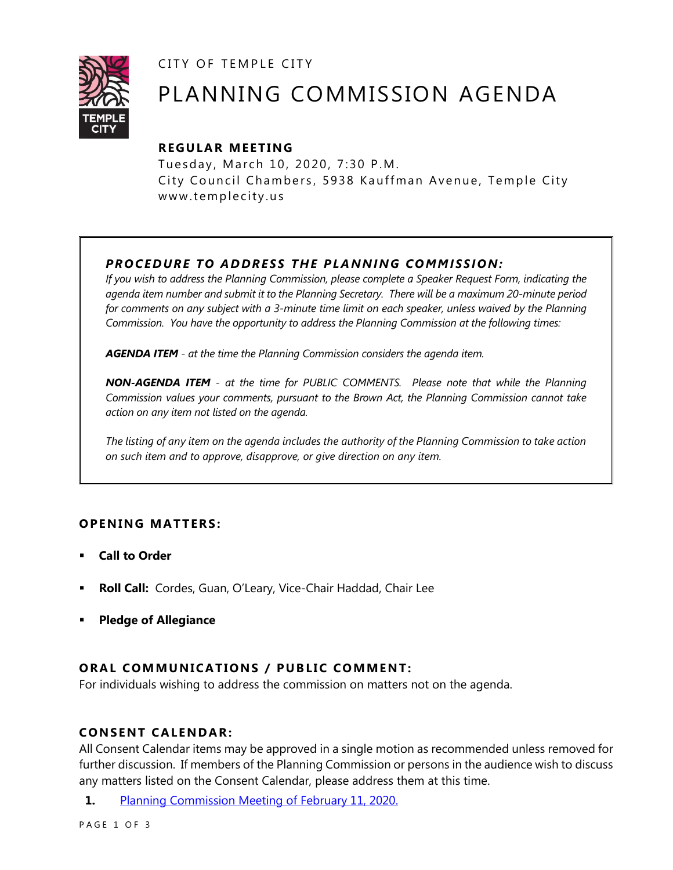CITY OF TEMPLE CITY



# PLANNING COMMISSION AGENDA

# **R EGULA R MEE TING**

Tuesday, March 10, 2020, 7:30 P.M. City Council Chambers, 5938 Kauffman Avenue, Temple City www.templecity.us

# *PRO CE DURE TO ADDRE SS THE P LA NNI NG COMM I SSION:*

*If you wish to address the Planning Commission, please complete a Speaker Request Form, indicating the agenda item number and submit it to the Planning Secretary. There will be a maximum 20-minute period*  for comments on any subject with a 3-minute time limit on each speaker, unless waived by the Planning *Commission. You have the opportunity to address the Planning Commission at the following times:*

*AGENDA ITEM - at the time the Planning Commission considers the agenda item.*

*NON-AGENDA ITEM - at the time for PUBLIC COMMENTS. Please note that while the Planning Commission values your comments, pursuant to the Brown Act, the Planning Commission cannot take action on any item not listed on the agenda.*

*The listing of any item on the agenda includes the authority of the Planning Commission to take action on such item and to approve, disapprove, or give direction on any item.*

## **OPENING MATTERS:**

- **Call to Order**
- **Roll Call:** Cordes, Guan, O'Leary, Vice-Chair Haddad, Chair Lee
- **Pledge of Allegiance**

## **ORAL COMMUNICATIONS / PUBLIC COMMENT:**

For individuals wishing to address the commission on matters not on the agenda.

#### **CONSENT CA LENDAR:**

All Consent Calendar items may be approved in a single motion as recommended unless removed for further discussion. If members of the Planning Commission or persons in the audience wish to discuss any matters listed on the Consent Calendar, please address them at this time.

**1.** [Planning Commission Meeting of](https://www.ci.temple-city.ca.us/DocumentCenter/View/14022/PCM-021120) February 11, 2020.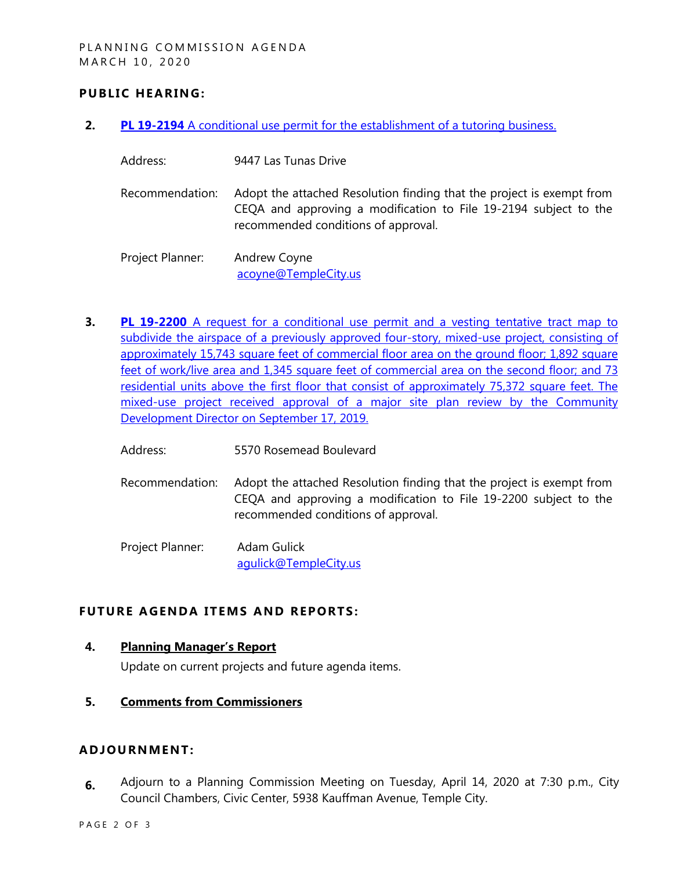## **PUBLIC HEARING:**

- **2. PL 19-2194** [A conditional use permit for the establishment of a tutoring business.](https://www.ci.temple-city.ca.us/DocumentCenter/View/14020/PL-19-2194-9447-Las-Tunas-attachment-1)
	- Address: 9447 Las Tunas Drive
	- Recommendation: Adopt the attached Resolution finding that the project is exempt from CEQA and approving a modification to File 19-2194 subject to the recommended conditions of approval.

Project Planner: Andrew Coyne acoyne@TempleCity.us

- **3. PL 19-2200** A request for a conditional use permit and a vesting tentative tract map to subdivide the airspace of a previously approved four-story, mixed-use project, consisting of [approximately 15,743 square feet of commercial floor area on the ground floor; 1,892 square](https://www.ci.temple-city.ca.us/DocumentCenter/View/14021/PL-19-2200-5570-Rosemead-Boulevard-attachment-2)  [feet of work/live area and 1,345 square feet of commercial area on the second floor; and 73](https://www.ci.temple-city.ca.us/DocumentCenter/View/14021/PL-19-2200-5570-Rosemead-Boulevard-attachment-2)  [residential units above the first floor that consist of approximately 75,372 square feet. The](https://www.ci.temple-city.ca.us/DocumentCenter/View/14021/PL-19-2200-5570-Rosemead-Boulevard-attachment-2)  [mixed-use project received approval of a major site plan review by the Community](https://www.ci.temple-city.ca.us/DocumentCenter/View/14021/PL-19-2200-5570-Rosemead-Boulevard-attachment-2)  [Development Director on September 17, 2019.](https://www.ci.temple-city.ca.us/DocumentCenter/View/14021/PL-19-2200-5570-Rosemead-Boulevard-attachment-2)
	- Address: 5570 Rosemead Boulevard
	- Recommendation: Adopt the attached Resolution finding that the project is exempt from CEQA and approving a modification to File 19-2200 subject to the recommended conditions of approval.
	- Project Planner: Adam Gulick [agulick@TempleCity.us](mailto:agulick@TempleCity.us)

#### **FUTURE AGENDA ITEMS AND REPORTS:**

### **4. Planning Manager's Report**

Update on current projects and future agenda items.

#### **5. Comments from Commissioners**

#### **ADJOU RNMENT:**

**6.** Adjourn to a Planning Commission Meeting on Tuesday, April 14, 2020 at 7:30 p.m., City Council Chambers, Civic Center, 5938 Kauffman Avenue, Temple City.